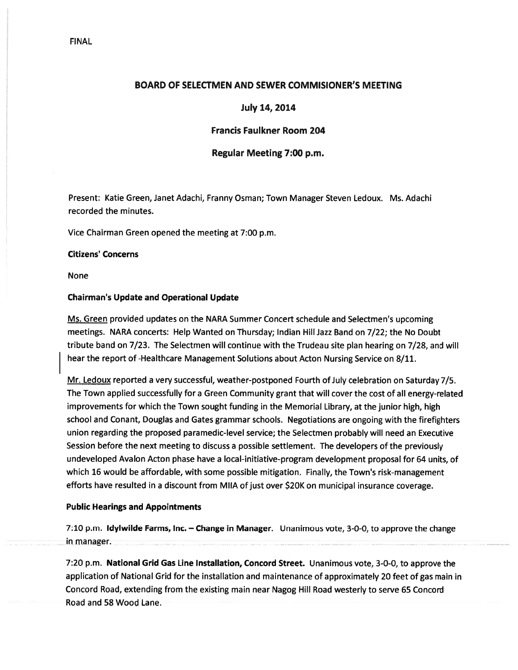# FINAL

# BOARD OF SELECTMEN AND SEWER COMMISIONER'S MEETING

# July 14, 2014

# Francis Faulkner Room 204

### Regular Meeting 7:00 p.m.

Present: Katie Green, Janet Adachi, Franny Osman; Town Manager Steven Ledoux. Ms. Adachi recorded the minutes.

Vice Chairman Green opened the meeting at 7:00 p.m.

#### Citizens' Concerns

None

### Chairman's Update and Operational Update

Ms. Green provided updates on the NARA Summer Concert schedule and Selectmen's upcoming meetings. NARA concerts: Help Wanted on Thursday; Indian Hill Jazz Band on 7/22; the No Doubt tribute band on 7/23. The Selectmen will continue with the Trudeau site plan hearing on 7/28, and will hear the repor<sup>t</sup> of -Healthcare Management Solutions about Acton Nursing Service on 8/11.

Mr. Ledoux reported <sup>a</sup> very successful, weather-postponed Fourth of July celebration on Saturday 7/5. The Town applied successfully for <sup>a</sup> Green Community gran<sup>t</sup> that will cover the cost of all energy-related improvements for which the Town sought funding in the Memorial Library, at the junior high, high school and Conant, Douglas and Gates grammar schools. Negotiations are ongoing with the firefighters union regarding the proposed paramedic-level service; the Selectmen probably will need an Executive Session before the next meeting to discuss <sup>a</sup> possible settlement. The developers of the previously undeveloped Avalon Acton phase have <sup>a</sup> local-initiative-program development proposal for 64 units, of which 16 would be affordable, with some possible mitigation. Finally, the Town's risk-management efforts have resulted in <sup>a</sup> discount from MIIA of just over \$20K on municipal insurance coverage.

### Public Hearings and Appointments

7:10 p.m. Idyiwilde Farms, Inc. — Change in Manager. Unanimous vote, 3-0-0, to approve the change in manager.

7:20 p.m. National Grid Gas Line Installation, Concord Street. Unanimous vote, 3-0-0, to approve the application of National Grid for the installation and maintenance of approximately 20 feet of gas main in Concord Road, extending from the existing main near Nagog Hill Road westerly to serve 65 Concord Road and 58 Wood Lane.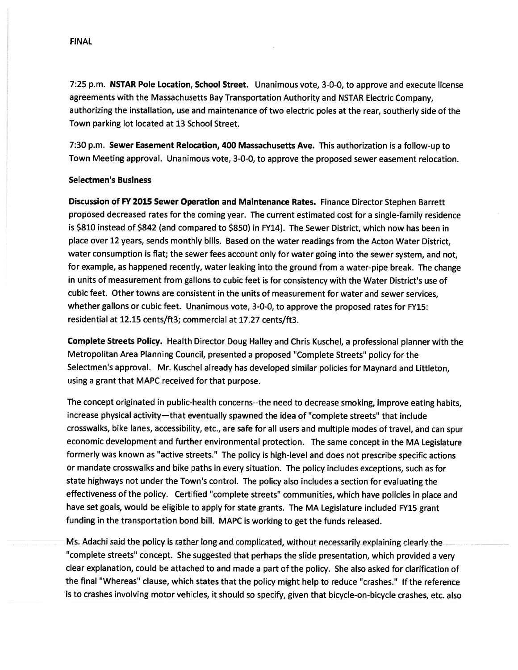FINAL

7:25 p.m. NSTAR Pole Location, School Street. Unanimous vote, 3-0-0, to approve and execute license agreements with the Massachusetts Bay Transportation Authority and NSTAR Electric Company, authorizing the installation, use and maintenance of two electric poles at the rear, southerly side of the Town parking lot located at 13 School Street.

7:30 p.m. Sewer Easement Relocation, <sup>400</sup> Massachusetts Ave. This authorization is <sup>a</sup> follow-up to Town Meeting approval. Unanimous vote, 3-0-0, to approve the proposed sewer easement relocation.

### Selectmen's Business

Discussion of FY 2015 Sewer Operation and Maintenance Rates. Finance Director Stephen Barrett proposed decreased rates for the coming year. The current estimated cost for <sup>a</sup> single-family residence is \$810 instead of \$842 (and compared to \$850) in FY14). The Sewer District, which now has been in place over 12 years, sends monthly bills. Based on the water readings from the Acton Water District, water consumption is flat; the sewer fees account only for water going into the sewer system, and not, for example, as happened recently, water leaking into the groun<sup>d</sup> from <sup>a</sup> water-pipe break. The change in units of measurement from gallons to cubic feet is for consistency with the Water District's use of cubic feet. Other towns are consistent in the units of measurement for water and sewer services, whether gallons or cubic feet. Unanimous vote, 3-0-0, to approve the proposed rates for FY15: residential at 12.15 cents/ft3; commercial at 17.27 cents/ft3.

Complete Streets Policy. Health Director Doug Halley and Chris Kuschel, <sup>a</sup> professional <sup>p</sup>lanner with the Metropolitan Area Planning Council, presented <sup>a</sup> propose<sup>d</sup> "Complete Streets" policy for the Selectmen's approval. Mr. Kuschel already has developed similar policies for Maynard and Littleton, using <sup>a</sup> gran<sup>t</sup> that MAPC received for that purpose.

The concep<sup>t</sup> originated in public-health concerns--the need to decrease smoking, improve eating habits, increase <sup>p</sup>hysical activity—that eventually spawne<sup>d</sup> the idea of "complete streets" that include crosswalks, bike lanes, accessibility, etc., are safe for all users and multiple modes of travel, and can spur economic development and further environmental protection. The same concep<sup>t</sup> in the MA Legislature formerly was known as "active streets." The policy is high-level and does not prescribe specific actions or mandate crosswalks and bike paths in every situation. The policy includes exceptions, such as for state highways not under the Town's control. The policy also includes <sup>a</sup> section for evaluating the effectiveness of the policy. Certified "complete streets" communities, which have policies in <sup>p</sup>lace and have set goals, would be eligible to apply for state grants. The MA Legislature included FY15 gran<sup>t</sup> funding in the transportation bond bill. MAPC is working to ge<sup>t</sup> the funds released.

Ms. Adachi said the policy is rather long and complicated, without necessarily explaining clearly the "complete streets" concept. She suggested that perhaps the slide presentation, which provided <sup>a</sup> very clear explanation, could be attached to and made <sup>a</sup> par<sup>t</sup> of the policy. She also asked for clarification of the final "Whereas" clause, which states that the policy might help to reduce "crashes." If the reference is to crashes involving motor vehicles, it should so specify, <sup>g</sup>iven that bicycle-on-bicycle crashes, etc. also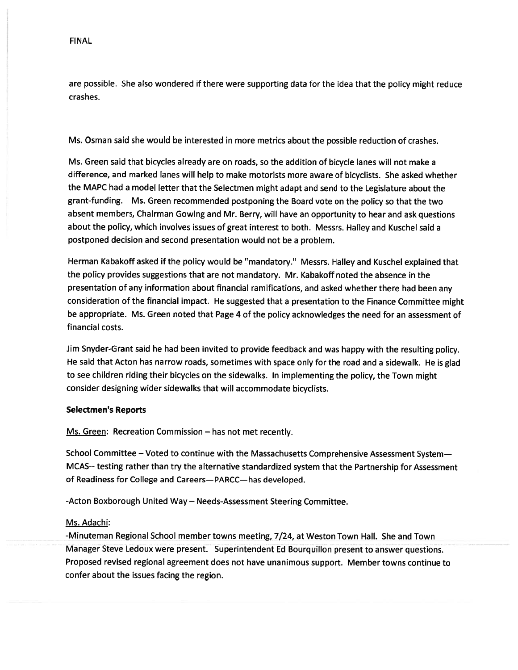are possible. She also wondered if there were supporting data for the idea that the policy might reduce crashes.

Ms. Osman said she would be interested in more metrics about the possible reduction of crashes.

Ms. Green said that bicycles already are on roads, so the addition of bicycle lanes will not make <sup>a</sup> difference, and marked lanes will help to make motorists more aware of bicyclists. She asked whether the MAPC had <sup>a</sup> model letter that the Selectmen might adapt and send to the Legislature about the grant-funding. Ms. Green recommended postponing the Board vote on the policy so that the two absent members, Chairman Gowing and Mr. Berry, will have an opportunity to hear and ask questions about the policy, which involves issues of grea<sup>t</sup> interest to both. Messrs. Halley and Kuschel said <sup>a</sup> postponed decision and second presentation would not be <sup>a</sup> problem.

Herman Kabakoff asked if the policy would be "mandatory." Messrs. Halley and Kuschel explained that the policy provides suggestions that are not mandatory. Mr. Kabakoff noted the absence in the presentation of any information about financial ramifications, and asked whether there had been any consideration of the financial impact. He suggested that <sup>a</sup> presentation to the Finance Committee might be appropriate. Ms. Green noted that Page <sup>4</sup> of the policy acknowledges the need for an assessment of financial costs.

Jim Snyder-Grant said he had been invited to provide feedback and was happy with the resulting policy. He said that Acton has narrow roads, sometimes with space only for the road and <sup>a</sup> sidewalk. He is <sup>g</sup>lad to see children riding their bicycles on the sidewalks. In implementing the policy, the Town might consider designing wider sidewalks that will accommodate bicyclists.

#### Selectmen's Reports

Ms. Green: Recreation Commission — has not met recently.

School Committee — Voted to continue with the Massachusetts Comprehensive Assessment System— MCAS-- testing rather than try the alternative standardized system that the Partnership for Assessment of Readiness for College and Careers—PARCC—has developed.

-Acton Boxborough United Way — Needs-Assessment Steering Committee.

#### Ms. Adachi:

-Minuteman Regional School member towns meeting, 7/24, at Weston Town Hall. She and Town Manager Steve Ledoux were present. Superintendent Ed Bourquillon present to answer questions. Proposed revised regional agreemen<sup>t</sup> does not have unanimous support. Member towns continue to confer about the issues facing the region.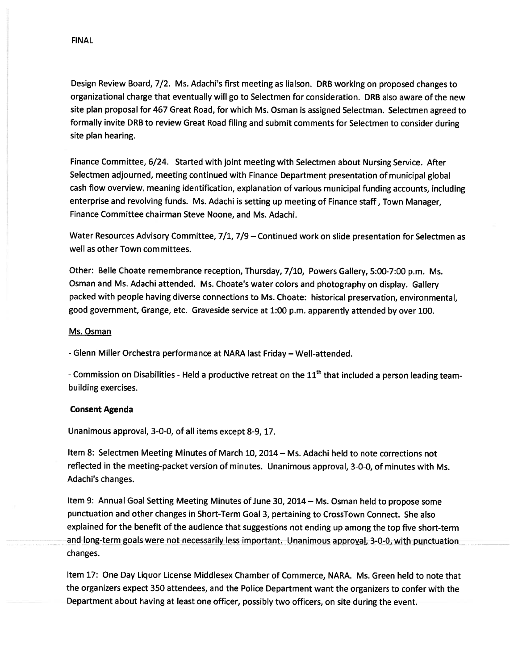Design Review Board, 7/2. Ms. Adachi's first meeting as liaison. DRB working on propose<sup>d</sup> changes to organizational charge that eventually will go to Selectmen for consideration. DRB also aware of the new site <sup>p</sup>lan proposa<sup>l</sup> for <sup>467</sup> Great Road, for which Ms. Osman is assigned Selectman. Selectmen agree<sup>d</sup> to formally invite DRB to review Great Road filing and submit comments for Selectmen to consider during site plan hearing.

Finance Committee, 6/24. Started with joint meeting with Selectmen about Nursing Service. After Selectmen adjourned, meeting continued with Finance Department presentation of municipal <sup>g</sup>lobal cash flow overview, meaning identification, explanation of various municipal funding accounts, including enterprise and revolving funds. Ms. Adachi is setting up meeting of Finance staff, Town Manager, Finance Committee chairman Steve Noone, and Ms. Adachi.

Water Resources Advisory Committee, 7/1, 7/9 — Continued work on slide presentation for Selectmen as well as other Town committees.

Other: Belle Choate remembrance reception, Thursday, 7/10, Powers Gallery, 5:00-7:00 p.m. Ms. Osman and Ms. Adachi attended. Ms. Choate's water colors and <sup>p</sup>hotography on display. Gallery packed with people having diverse connections to Ms. Choate: historical preservation, environmental, goo<sup>d</sup> government, Grange, etc. Graveside service at 1:00 p.m. apparently attended by over 100.

#### Ms. Osman

- Glenn Miller Orchestra performance at NARA last Friday — Well-attended.

- Commission on Disabilities - Held a productive retreat on the 11<sup>th</sup> that included a person leading teambuilding exercises.

#### Consent Agenda

Unanimous approval, 3-0-0, of all items excep<sup>t</sup> 8-9, 17.

Item 8: Selectmen Meeting Minutes of March 10, 2014 — Ms. Adachi held to note corrections not reflected in the meeting-packet version of minutes. Unanimous approval, 3-0-0, of minutes with Ms. Adachi's changes.

Item 9: Annual Goal Setting Meeting Minutes of June 30, 2014— Ms. Osman held to propose some punctuation and other changes in Short-Term Goal 3, pertaining to CrossTown Connect. She also explained for the benefit of the audience that suggestions not ending up among the top five short-term and long-term goals were not necessarily less important. Unanimous approval, 3-0-0, with punctuation changes.

Item 17: One Day Liquor License Middlesex Chamber of Commerce, NARA. Ms. Green held to note that the organizers expec<sup>t</sup> <sup>350</sup> attendees, and the Police Department want the organizers to confer with the Department about having at least one officer, possibly two officers, on site during the event.